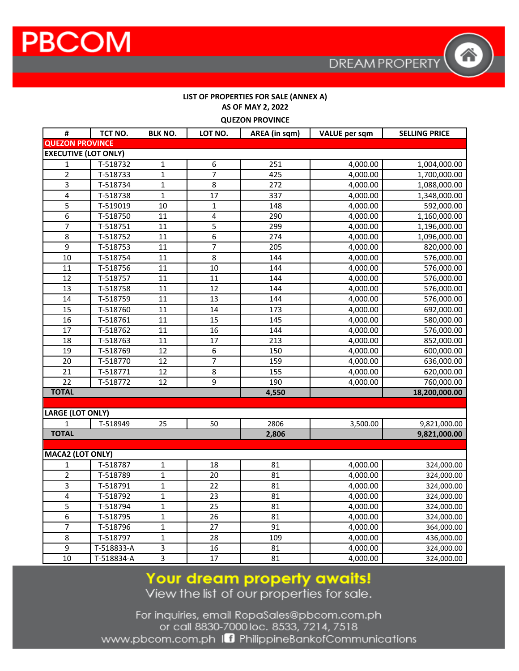#### LIST OF PROPERTIES FOR SALE (ANNEX A) AS OF MAY 2, 2022 **OUEZON PROVINCE**

| QULLUINT INUVIINCL          |            |                 |                 |                  |                      |                      |  |  |
|-----------------------------|------------|-----------------|-----------------|------------------|----------------------|----------------------|--|--|
| #                           | TCT NO.    | <b>BLK NO.</b>  | LOT NO.         | AREA (in sqm)    | <b>VALUE</b> per sqm | <b>SELLING PRICE</b> |  |  |
| <b>QUEZON PROVINCE</b>      |            |                 |                 |                  |                      |                      |  |  |
| <b>EXECUTIVE (LOT ONLY)</b> |            |                 |                 |                  |                      |                      |  |  |
| 1                           | T-518732   | $\mathbf 1$     | 6               | 251              | 4,000.00             | 1,004,000.00         |  |  |
| $\overline{2}$              | T-518733   | $\mathbf{1}$    | 7               | 425              | 4,000.00             | 1,700,000.00         |  |  |
| $\overline{3}$              | T-518734   | $\overline{1}$  | $\overline{8}$  | $\overline{272}$ | 4,000.00             | 1,088,000.00         |  |  |
| 4                           | T-518738   | $\mathbf{1}$    | 17              | 337              | 4,000.00             | 1,348,000.00         |  |  |
| 5                           | T-519019   | 10              | 1               | 148              | 4,000.00             | 592,000.00           |  |  |
| $\overline{6}$              | T-518750   | 11              | 4               | 290              | 4,000.00             | 1,160,000.00         |  |  |
| 7                           | T-518751   | 11              | 5               | 299              | 4,000.00             | 1,196,000.00         |  |  |
| 8                           | T-518752   | 11              | 6               | 274              | 4,000.00             | 1,096,000.00         |  |  |
| 9                           | T-518753   | 11              | $\overline{7}$  | 205              | 4,000.00             | 820,000.00           |  |  |
| 10                          | T-518754   | 11              | 8               | 144              | 4,000.00             | 576,000.00           |  |  |
| 11                          | T-518756   | 11              | $\overline{10}$ | 144              | 4,000.00             | 576,000.00           |  |  |
| $\overline{12}$             | T-518757   | 11              | 11              | 144              | 4,000.00             | 576,000.00           |  |  |
| 13                          | T-518758   | 11              | 12              | 144              | 4,000.00             | 576,000.00           |  |  |
| 14                          | T-518759   | 11              | $\overline{13}$ | 144              | 4,000.00             | 576,000.00           |  |  |
| 15                          | T-518760   | 11              | 14              | 173              | 4,000.00             | 692,000.00           |  |  |
| 16                          | T-518761   | 11              | $\overline{15}$ | 145              | 4,000.00             | 580,000.00           |  |  |
| 17                          | T-518762   | 11              | 16              | 144              | 4,000.00             | 576,000.00           |  |  |
| 18                          | T-518763   | 11              | 17              | 213              | 4,000.00             | 852,000.00           |  |  |
| 19                          | T-518769   | 12              | 6               | 150              | 4,000.00             | 600,000.00           |  |  |
| 20                          | T-518770   | $\overline{12}$ | $\overline{7}$  | 159              | 4,000.00             | 636,000.00           |  |  |
| 21                          | T-518771   | 12              | 8               | 155              | 4,000.00             | 620,000.00           |  |  |
| $\overline{22}$             | T-518772   | 12              | $\overline{9}$  | 190              | 4,000.00             | 760,000.00           |  |  |
| <b>TOTAL</b>                |            |                 |                 | 4,550            |                      | 18,200,000.00        |  |  |
|                             |            |                 |                 |                  |                      |                      |  |  |
| <b>LARGE (LOT ONLY)</b>     |            |                 |                 |                  |                      |                      |  |  |
| 1                           | T-518949   | 25              | 50              | 2806             | 3,500.00             | 9,821,000.00         |  |  |
| <b>TOTAL</b>                |            |                 |                 | 2,806            |                      | 9,821,000.00         |  |  |
|                             |            |                 |                 |                  |                      |                      |  |  |
| <b>MACA2 (LOT ONLY)</b>     |            |                 |                 |                  |                      |                      |  |  |
| 1                           | T-518787   | $\mathbf 1$     | 18              | 81               | 4,000.00             | 324,000.00           |  |  |
| $\overline{2}$              | T-518789   | $\overline{1}$  | $\overline{20}$ | 81               | 4,000.00             | 324,000.00           |  |  |
| 3                           | T-518791   | $\mathbf{1}$    | 22              | 81               | 4,000.00             | 324,000.00           |  |  |
| $\overline{4}$              | T-518792   | $\mathbf{1}$    | 23              | 81               | 4,000.00             | 324,000.00           |  |  |
| $\overline{5}$              | T-518794   | $\mathbf{1}$    | 25              | 81               | 4,000.00             | 324,000.00           |  |  |
| $\overline{6}$              | T-518795   | $\mathbf{1}$    | 26              | 81               | 4,000.00             | 324,000.00           |  |  |
| 7                           | T-518796   | $\overline{1}$  | $\overline{27}$ | 91               | 4,000.00             | 364,000.00           |  |  |
| 8                           | T-518797   | $\mathbf{1}$    | 28              | 109              | 4,000.00             | 436,000.00           |  |  |
| 9                           | T-518833-A | 3               | 16              | 81               | 4,000.00             | 324,000.00           |  |  |
| 10                          | T-518834-A | $\overline{3}$  | 17              | 81               | 4,000.00             | 324,000.00           |  |  |

# Your dream property awaits!<br>View the list of our properties for sale.

For inquiries, email RopaSales@pbcom.com.ph or call 8830-7000 loc. 8533, 7214, 7518 www.pbcom.com.ph In PhilippineBankofCommunications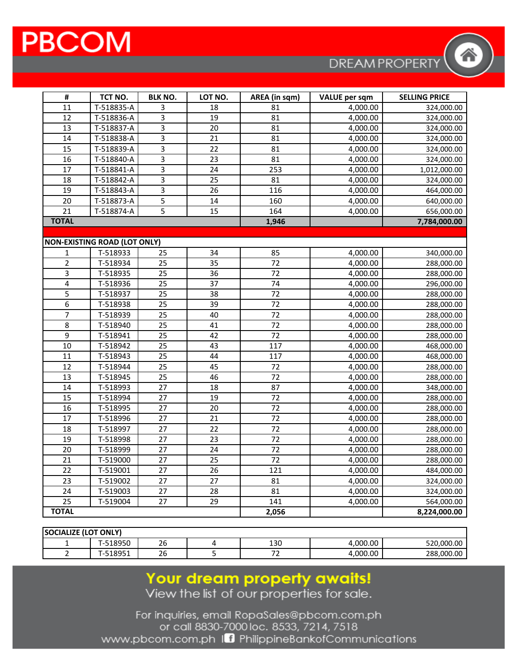## **PBCOM**

**DREAM PROPERTY** 

| #                       | TCT NO.                             | <b>BLK NO.</b>            | LOT NO.         | AREA (in sqm)   | <b>VALUE</b> per sqm | <b>SELLING PRICE</b> |
|-------------------------|-------------------------------------|---------------------------|-----------------|-----------------|----------------------|----------------------|
| 11                      | T-518835-A                          | 3                         | 18              | 81              | 4,000.00             | 324,000.00           |
| 12                      | T-518836-A                          | 3                         | 19              | 81              | 4,000.00             | 324,000.00           |
| 13                      | T-518837-A                          | $\overline{3}$            | 20              | 81              | 4,000.00             | 324,000.00           |
| 14                      | T-518838-A                          | $\overline{3}$            | 21              | 81              | 4,000.00             | 324,000.00           |
| 15                      | T-518839-A                          | $\overline{3}$            | 22              | 81              | 4,000.00             | 324,000.00           |
| 16                      | T-518840-A                          | $\overline{\overline{3}}$ | 23              | 81              | 4,000.00             | 324,000.00           |
| 17                      | T-518841-A                          | $\overline{3}$            | 24              | 253             | 4,000.00             | 1,012,000.00         |
| 18                      | T-518842-A                          | $\overline{3}$            | $\overline{25}$ | 81              | 4,000.00             | 324,000.00           |
| 19                      | T-518843-A                          | 3                         | 26              | 116             | 4,000.00             | 464,000.00           |
| 20                      | T-518873-A                          | 5                         | 14              | 160             | 4,000.00             | 640,000.00           |
| 21                      | T-518874-A                          | $\overline{5}$            | 15              | 164             | 4,000.00             | 656,000.00           |
| <b>TOTAL</b>            |                                     |                           |                 | 1,946           |                      | 7,784,000.00         |
|                         |                                     |                           |                 |                 |                      |                      |
|                         | <b>NON-EXISTING ROAD (LOT ONLY)</b> |                           |                 |                 |                      |                      |
| 1                       | T-518933                            | 25                        | 34              | 85              | 4,000.00             | 340,000.00           |
| $\overline{2}$          | T-518934                            | 25                        | 35              | $\overline{72}$ | 4,000.00             | 288,000.00           |
| $\overline{\mathbf{3}}$ | T-518935                            | $\overline{25}$           | 36              | $\overline{72}$ | 4,000.00             | 288,000.00           |
| $\overline{\mathbf{4}}$ | T-518936                            | 25                        | 37              | 74              | 4,000.00             | 296,000.00           |
| $\overline{5}$          | T-518937                            | 25                        | 38              | 72              | 4,000.00             | 288,000.00           |
| $\overline{6}$          | T-518938                            | $\overline{25}$           | 39              | 72              | 4,000.00             | 288,000.00           |
| $\overline{7}$          | T-518939                            | 25                        | 40              | 72              | 4,000.00             | 288,000.00           |
| $\overline{8}$          | T-518940                            | $\overline{25}$           | $\overline{41}$ | 72              | 4,000.00             | 288,000.00           |
| 9                       | T-518941                            | $\overline{25}$           | 42              | $\overline{72}$ | 4,000.00             | 288,000.00           |
| 10                      | T-518942                            | 25                        | 43              | 117             | 4,000.00             | 468,000.00           |
| 11                      | T-518943                            | $\overline{25}$           | 44              | 117             | 4,000.00             | 468,000.00           |
| 12                      | T-518944                            | 25                        | 45              | 72              | 4,000.00             | 288,000.00           |
| 13                      | T-518945                            | 25                        | 46              | 72              | 4,000.00             | 288,000.00           |
| 14                      | T-518993                            | $\overline{27}$           | $\overline{18}$ | 87              | 4,000.00             | 348,000.00           |
| 15                      | T-518994                            | $\overline{27}$           | 19              | $\overline{72}$ | 4,000.00             | 288,000.00           |
| 16                      | T-518995                            | 27                        | 20              | 72              | 4,000.00             | 288,000.00           |
| $\overline{17}$         | T-518996                            | $\overline{27}$           | 21              | 72              | 4,000.00             | 288,000.00           |
| 18                      | T-518997                            | 27                        | 22              | 72              | 4,000.00             | 288,000.00           |
| 19                      | T-518998                            | 27                        | 23              | $\overline{72}$ | 4,000.00             | 288,000.00           |
| $\overline{20}$         | T-518999                            | $\overline{27}$           | $\overline{24}$ | 72              | 4,000.00             | 288,000.00           |
| 21                      | T-519000                            | 27                        | 25              | 72              | 4,000.00             | 288,000.00           |
| 22                      | T-519001                            | 27                        | 26              | 121             | 4,000.00             | 484,000.00           |
| $\overline{23}$         | T-519002                            | $\overline{27}$           | $\overline{27}$ | 81              | 4,000.00             | 324,000.00           |
| 24                      | T-519003                            | 27                        | 28              | 81              | 4,000.00             | 324,000.00           |
| 25                      | T-519004                            | $\overline{27}$           | 29              | 141             | 4,000.00             | 564,000.00           |
| <b>TOTAL</b>            |                                     |                           |                 | 2,056           |                      | 8,224,000.00         |

| ONLY)<br><b>SOCIALIZE (LOT</b> |             |                      |  |      |               |                |  |
|--------------------------------|-------------|----------------------|--|------|---------------|----------------|--|
|                                | 518950<br>. | $\sim$<br>26         |  | 130  | .000.00،<br>4 | .000.00<br>520 |  |
|                                | 18951<br>-- | $\sim$ $\sim$<br>-26 |  | $-1$ | 1.000.00<br>4 | 288,000.00     |  |

# Your dream property awaits!<br>View the list of our properties for sale.

For inquiries, email RopaSales@pbcom.com.ph or call 8830-7000 loc. 8533, 7214, 7518 www.pbcom.com.ph In PhilippineBankofCommunications